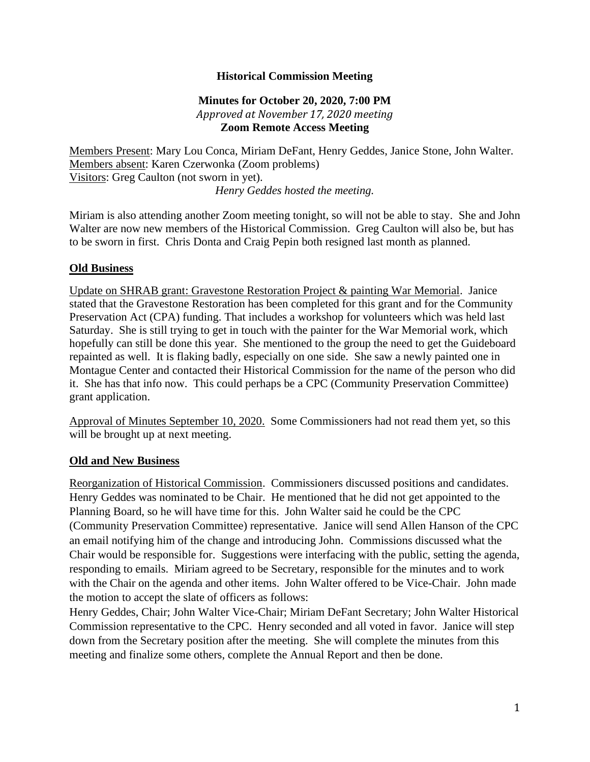# **Historical Commission Meeting**

## **Minutes for October 20, 2020, 7:00 PM** *Approved at November 17, 2020 meeting* **Zoom Remote Access Meeting**

Members Present: Mary Lou Conca, Miriam DeFant, Henry Geddes, Janice Stone, John Walter. Members absent: Karen Czerwonka (Zoom problems) Visitors: Greg Caulton (not sworn in yet). *Henry Geddes hosted the meeting.*

Miriam is also attending another Zoom meeting tonight, so will not be able to stay. She and John Walter are now new members of the Historical Commission. Greg Caulton will also be, but has to be sworn in first. Chris Donta and Craig Pepin both resigned last month as planned.

### **Old Business**

Update on SHRAB grant: Gravestone Restoration Project & painting War Memorial. Janice stated that the Gravestone Restoration has been completed for this grant and for the Community Preservation Act (CPA) funding. That includes a workshop for volunteers which was held last Saturday. She is still trying to get in touch with the painter for the War Memorial work, which hopefully can still be done this year. She mentioned to the group the need to get the Guideboard repainted as well. It is flaking badly, especially on one side. She saw a newly painted one in Montague Center and contacted their Historical Commission for the name of the person who did it. She has that info now. This could perhaps be a CPC (Community Preservation Committee) grant application.

Approval of Minutes September 10, 2020. Some Commissioners had not read them yet, so this will be brought up at next meeting.

#### **Old and New Business**

Reorganization of Historical Commission. Commissioners discussed positions and candidates. Henry Geddes was nominated to be Chair. He mentioned that he did not get appointed to the Planning Board, so he will have time for this. John Walter said he could be the CPC (Community Preservation Committee) representative. Janice will send Allen Hanson of the CPC an email notifying him of the change and introducing John. Commissions discussed what the Chair would be responsible for. Suggestions were interfacing with the public, setting the agenda, responding to emails. Miriam agreed to be Secretary, responsible for the minutes and to work with the Chair on the agenda and other items. John Walter offered to be Vice-Chair. John made the motion to accept the slate of officers as follows:

Henry Geddes, Chair; John Walter Vice-Chair; Miriam DeFant Secretary; John Walter Historical Commission representative to the CPC. Henry seconded and all voted in favor. Janice will step down from the Secretary position after the meeting. She will complete the minutes from this meeting and finalize some others, complete the Annual Report and then be done.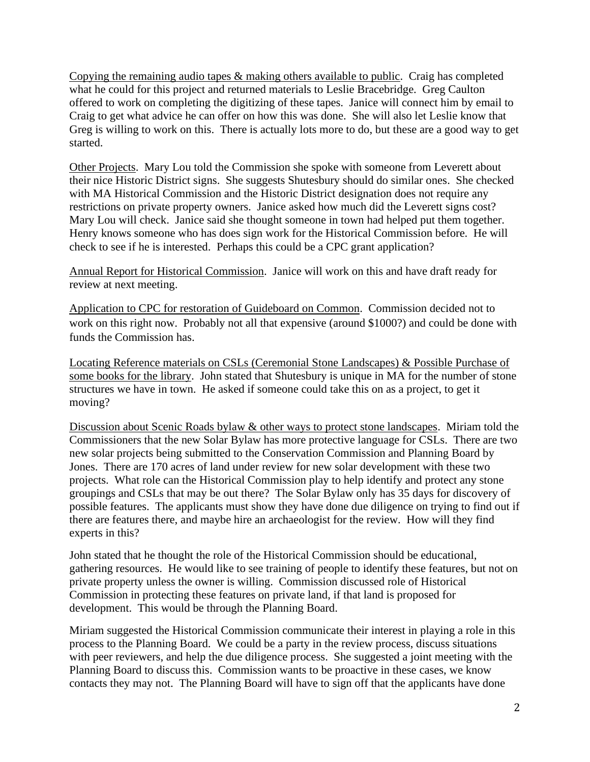Copying the remaining audio tapes & making others available to public. Craig has completed what he could for this project and returned materials to Leslie Bracebridge. Greg Caulton offered to work on completing the digitizing of these tapes. Janice will connect him by email to Craig to get what advice he can offer on how this was done. She will also let Leslie know that Greg is willing to work on this. There is actually lots more to do, but these are a good way to get started.

Other Projects. Mary Lou told the Commission she spoke with someone from Leverett about their nice Historic District signs. She suggests Shutesbury should do similar ones. She checked with MA Historical Commission and the Historic District designation does not require any restrictions on private property owners. Janice asked how much did the Leverett signs cost? Mary Lou will check. Janice said she thought someone in town had helped put them together. Henry knows someone who has does sign work for the Historical Commission before. He will check to see if he is interested. Perhaps this could be a CPC grant application?

Annual Report for Historical Commission. Janice will work on this and have draft ready for review at next meeting.

Application to CPC for restoration of Guideboard on Common. Commission decided not to work on this right now. Probably not all that expensive (around \$1000?) and could be done with funds the Commission has.

Locating Reference materials on CSLs (Ceremonial Stone Landscapes) & Possible Purchase of some books for the library. John stated that Shutesbury is unique in MA for the number of stone structures we have in town. He asked if someone could take this on as a project, to get it moving?

Discussion about Scenic Roads bylaw & other ways to protect stone landscapes. Miriam told the Commissioners that the new Solar Bylaw has more protective language for CSLs. There are two new solar projects being submitted to the Conservation Commission and Planning Board by Jones. There are 170 acres of land under review for new solar development with these two projects. What role can the Historical Commission play to help identify and protect any stone groupings and CSLs that may be out there? The Solar Bylaw only has 35 days for discovery of possible features. The applicants must show they have done due diligence on trying to find out if there are features there, and maybe hire an archaeologist for the review. How will they find experts in this?

John stated that he thought the role of the Historical Commission should be educational, gathering resources. He would like to see training of people to identify these features, but not on private property unless the owner is willing. Commission discussed role of Historical Commission in protecting these features on private land, if that land is proposed for development. This would be through the Planning Board.

Miriam suggested the Historical Commission communicate their interest in playing a role in this process to the Planning Board. We could be a party in the review process, discuss situations with peer reviewers, and help the due diligence process. She suggested a joint meeting with the Planning Board to discuss this. Commission wants to be proactive in these cases, we know contacts they may not. The Planning Board will have to sign off that the applicants have done